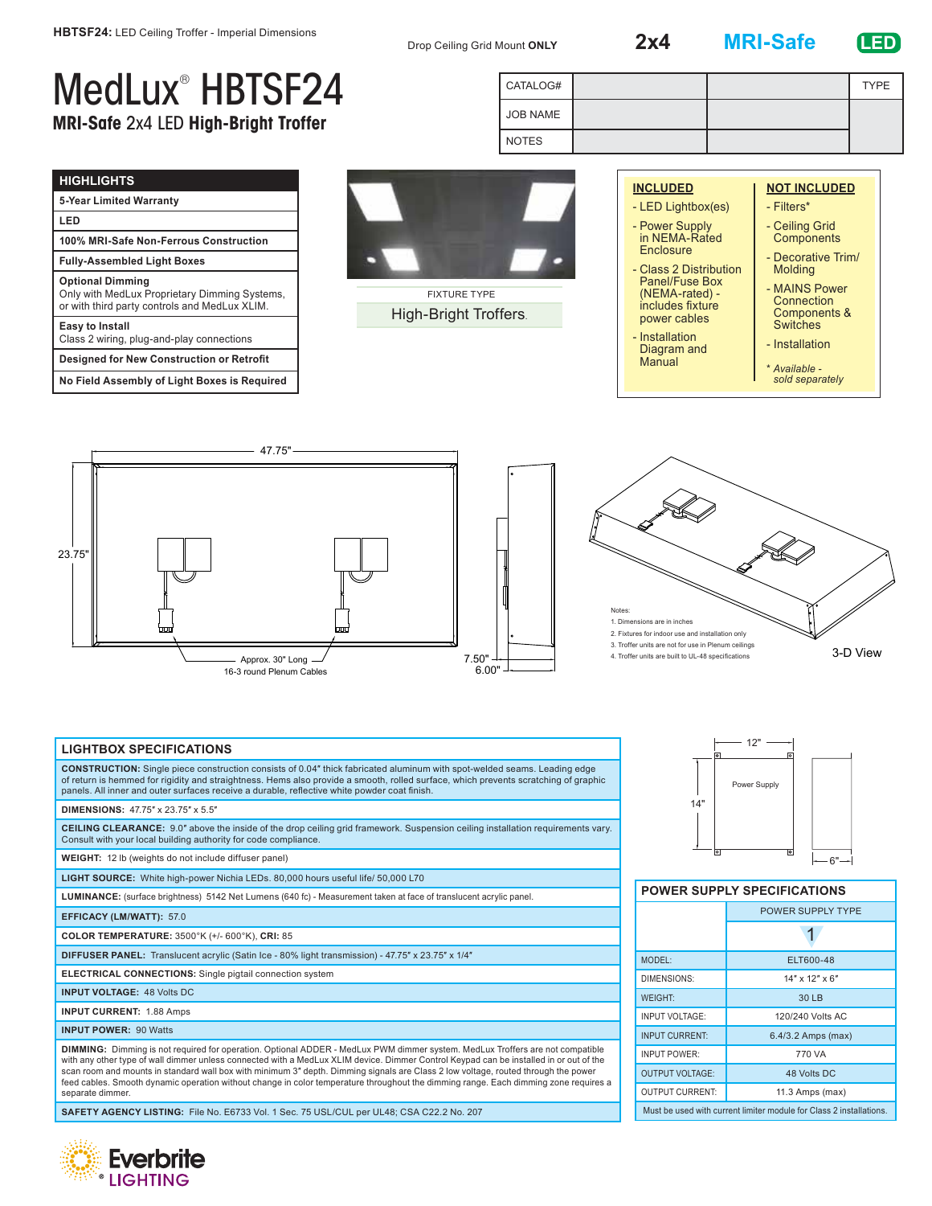Drop Ceiling Grid Mount **ONLY 2x4 MRI-Safe**

JOB NAME NOTES

CATALOG# TYPE

## **LED**

## MedLux® HBTSF24 **MRI-Safe** 2x4 LED **High-Bright Troffer**

| <b>HIGHLIGHTS</b>                                                                                                         |
|---------------------------------------------------------------------------------------------------------------------------|
| 5-Year Limited Warranty                                                                                                   |
| LED                                                                                                                       |
| 100% MRI-Safe Non-Ferrous Construction                                                                                    |
| <b>Fully-Assembled Light Boxes</b>                                                                                        |
| <b>Optional Dimming</b><br>Only with MedLux Proprietary Dimming Systems,<br>or with third party controls and MedLux XLIM. |
| <b>Easy to Install</b><br>Class 2 wiring, plug-and-play connections                                                       |
| <b>Designed for New Construction or Retrofit</b>                                                                          |
| No Field Assembly of Light Boxes is Required                                                                              |



FIXTURE TYPE High-Bright Troffers.

6.00"

|  | <b>INCLUDED</b>                                                      | <b>NOT INCLUDED</b>                                            |  |  |  |
|--|----------------------------------------------------------------------|----------------------------------------------------------------|--|--|--|
|  | - LED Lightbox(es)                                                   | - Filters*                                                     |  |  |  |
|  | - Power Supply<br>in NEMA-Rated                                      | - Ceiling Grid<br>Components                                   |  |  |  |
|  | Enclosure<br>- Class 2 Distribution                                  | - Decorative Trim/<br>Molding                                  |  |  |  |
|  | Panel/Fuse Box<br>(NEMA-rated) -<br>includes fixture<br>power cables | - MAINS Power<br>Connection<br>Components &<br><b>Switches</b> |  |  |  |
|  | - Installation<br>Diagram and<br>Manual                              | - Installation                                                 |  |  |  |
|  |                                                                      | * Available -                                                  |  |  |  |

*sold separately*

47.75" 23.75" Approx. 30" Long  $\angle$  7.50"

16-3 round Plenum Cables



## **LIGHTBOX SPECIFICATIONS**

**CONSTRUCTION:** Single piece construction consists of 0.04″ thick fabricated aluminum with spot-welded seams. Leading edge of return is hemmed for rigidity and straightness. Hems also provide a smooth, rolled surface, which prevents scratching of graphic panels. All inner and outer surfaces receive a durable, reflective white powder coat finish.

## **DIMENSIONS:** 47.75″ x 23.75″ x 5.5″

**CEILING CLEARANCE:** 9.0″ above the inside of the drop ceiling grid framework. Suspension ceiling installation requirements vary. Consult with your local building authority for code compliance.

**WEIGHT:** 12 lb (weights do not include diffuser panel)

**LIGHT SOURCE:** White high-power Nichia LEDs. 80,000 hours useful life/ 50,000 L70

**LUMINANCE:** (surface brightness) 5142 Net Lumens (640 fc) - Measurement taken at face of translucent acrylic panel.

**EFFICACY (LM/WATT):** 57.0

**COLOR TEMPERATURE:** 3500°K (+/- 600°K), **CRI:** 85

**DIFFUSER PANEL:** Translucent acrylic (Satin Ice - 80% light transmission) - 47.75″ x 23.75″ x 1/4″

**ELECTRICAL CONNECTIONS:** Single pigtail connection system

**INPUT VOLTAGE:** 48 Volts DC

**INPUT CURRENT:** 1.88 Amps

**INPUT POWER:** 90 Watts

**DIMMING:** Dimming is not required for operation. Optional ADDER - MedLux PWM dimmer system. MedLux Troffers are not compatible with any other type of wall dimmer unless connected with a MedLux XLIM device. Dimmer Control Keypad can be installed in or out of the scan room and mounts in standard wall box with minimum 3″ depth. Dimming signals are Class 2 low voltage, routed through the power<br>feed cables. Smooth dynamic operation without change in color temperature throughout the di separate dimmer

**SAFETY AGENCY LISTING:** File No. E6733 Vol. 1 Sec. 75 USL/CUL per UL48; CSA C22.2 No. 207





| <b>POWER SUPPLY SPECIFICATIONS</b>                                  |                          |  |
|---------------------------------------------------------------------|--------------------------|--|
|                                                                     | <b>POWER SUPPLY TYPE</b> |  |
|                                                                     |                          |  |
| MODEL:                                                              | ELT600-48                |  |
| DIMENSIONS:                                                         | $14"$ x $12"$ x 6"       |  |
| <b>WEIGHT:</b>                                                      | 30 LB                    |  |
| INPUT VOLTAGE:                                                      | 120/240 Volts AC         |  |
| <b>INPUT CURRENT:</b>                                               | 6.4/3.2 Amps (max)       |  |
| <b>INPUT POWER:</b>                                                 | 770 VA                   |  |
| <b>OUTPUT VOLTAGE:</b>                                              | 48 Volts DC              |  |
| <b>OUTPUT CURRENT:</b>                                              | 11.3 Amps (max)          |  |
| Must be used with current limiter module for Class 2 installations. |                          |  |